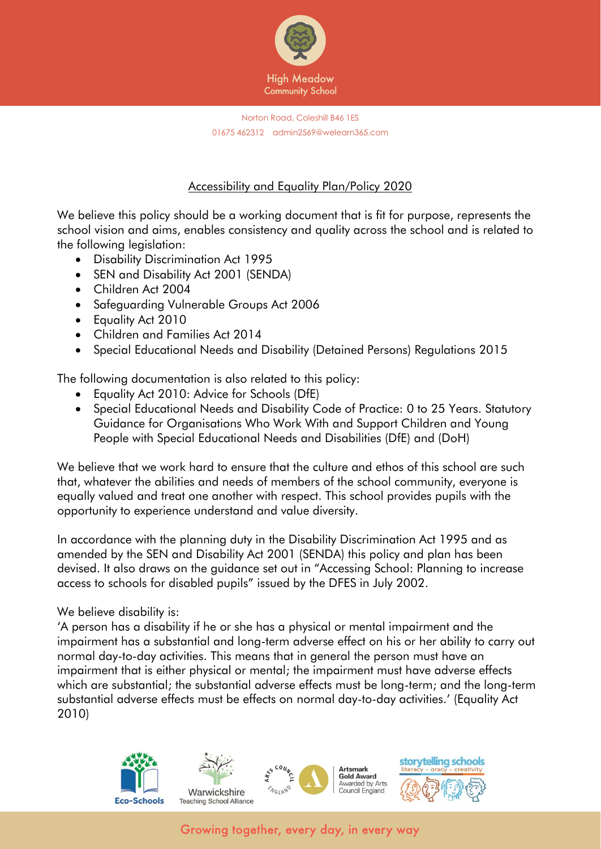

### Accessibility and Equality Plan/Policy 2020

We believe this policy should be a working document that is fit for purpose, represents the school vision and aims, enables consistency and quality across the school and is related to the following legislation:

- Disability Discrimination Act 1995
- SEN and Disability Act 2001 (SENDA)
- Children Act 2004
- Safeguarding Vulnerable Groups Act 2006
- Equality Act 2010
- Children and Families Act 2014
- Special Educational Needs and Disability (Detained Persons) Regulations 2015

The following documentation is also related to this policy:

- Equality Act 2010: Advice for Schools (DfE)
- Special Educational Needs and Disability Code of Practice: 0 to 25 Years. Statutory Guidance for Organisations Who Work With and Support Children and Young People with Special Educational Needs and Disabilities (DfE) and (DoH)

We believe that we work hard to ensure that the culture and ethos of this school are such that, whatever the abilities and needs of members of the school community, everyone is equally valued and treat one another with respect. This school provides pupils with the opportunity to experience understand and value diversity.

In accordance with the planning duty in the Disability Discrimination Act 1995 and as amended by the SEN and Disability Act 2001 (SENDA) this policy and plan has been devised. It also draws on the guidance set out in "Accessing School: Planning to increase access to schools for disabled pupils" issued by the DFES in July 2002.

### We believe disability is:

'A person has a disability if he or she has a physical or mental impairment and the impairment has a substantial and long-term adverse effect on his or her ability to carry out normal day-to-day activities. This means that in general the person must have an impairment that is either physical or mental; the impairment must have adverse effects which are substantial; the substantial adverse effects must be long-term; and the long-term substantial adverse effects must be effects on normal day-to-day activities.' (Equality Act 2010)

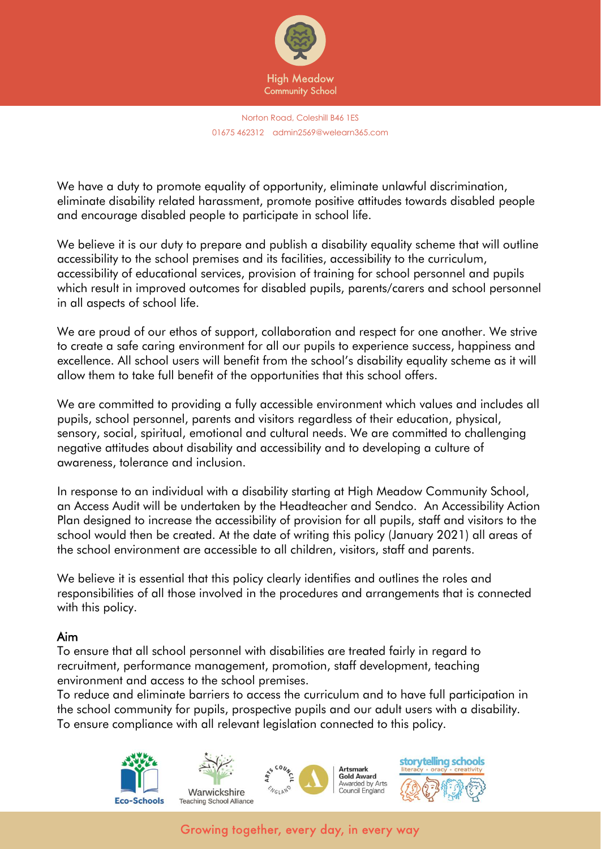

We have a duty to promote equality of opportunity, eliminate unlawful discrimination, eliminate disability related harassment, promote positive attitudes towards disabled people and encourage disabled people to participate in school life.

We believe it is our duty to prepare and publish a disability equality scheme that will outline accessibility to the school premises and its facilities, accessibility to the curriculum, accessibility of educational services, provision of training for school personnel and pupils which result in improved outcomes for disabled pupils, parents/carers and school personnel in all aspects of school life.

We are proud of our ethos of support, collaboration and respect for one another. We strive to create a safe caring environment for all our pupils to experience success, happiness and excellence. All school users will benefit from the school's disability equality scheme as it will allow them to take full benefit of the opportunities that this school offers.

We are committed to providing a fully accessible environment which values and includes all pupils, school personnel, parents and visitors regardless of their education, physical, sensory, social, spiritual, emotional and cultural needs. We are committed to challenging negative attitudes about disability and accessibility and to developing a culture of awareness, tolerance and inclusion.

In response to an individual with a disability starting at High Meadow Community School, an Access Audit will be undertaken by the Headteacher and Sendco. An Accessibility Action Plan designed to increase the accessibility of provision for all pupils, staff and visitors to the school would then be created. At the date of writing this policy (January 2021) all areas of the school environment are accessible to all children, visitors, staff and parents.

We believe it is essential that this policy clearly identifies and outlines the roles and responsibilities of all those involved in the procedures and arrangements that is connected with this policy.

### Aim

To ensure that all school personnel with disabilities are treated fairly in regard to recruitment, performance management, promotion, staff development, teaching environment and access to the school premises.

To reduce and eliminate barriers to access the curriculum and to have full participation in the school community for pupils, prospective pupils and our adult users with a disability. To ensure compliance with all relevant legislation connected to this policy.

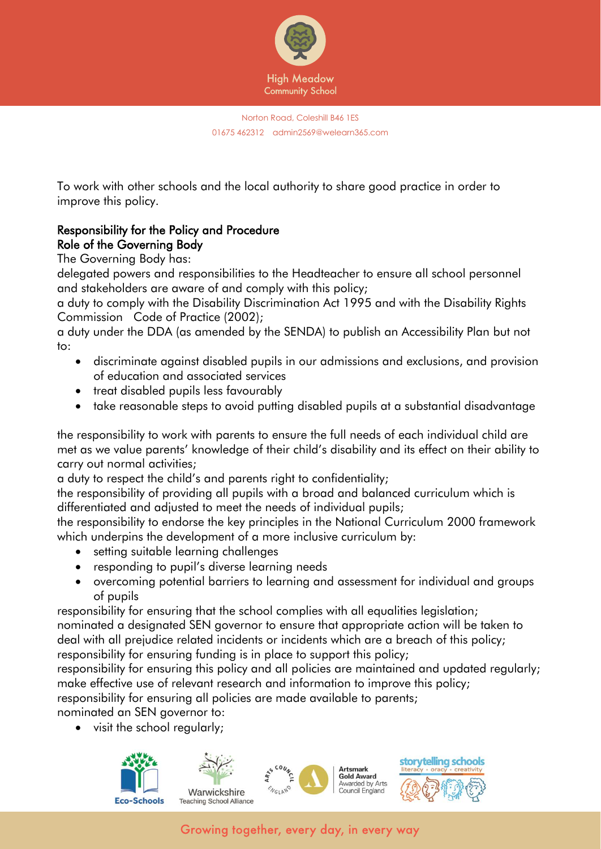

To work with other schools and the local authority to share good practice in order to improve this policy.

# Responsibility for the Policy and Procedure Role of the Governing Body

The Governing Body has:

delegated powers and responsibilities to the Headteacher to ensure all school personnel and stakeholders are aware of and comply with this policy;

a duty to comply with the Disability Discrimination Act 1995 and with the Disability Rights Commission Code of Practice (2002);

a duty under the DDA (as amended by the SENDA) to publish an Accessibility Plan but not to:

- discriminate against disabled pupils in our admissions and exclusions, and provision of education and associated services
- treat disabled pupils less favourably
- take reasonable steps to avoid putting disabled pupils at a substantial disadvantage

the responsibility to work with parents to ensure the full needs of each individual child are met as we value parents' knowledge of their child's disability and its effect on their ability to carry out normal activities;

a duty to respect the child's and parents right to confidentiality;

the responsibility of providing all pupils with a broad and balanced curriculum which is differentiated and adjusted to meet the needs of individual pupils;

the responsibility to endorse the key principles in the National Curriculum 2000 framework which underpins the development of a more inclusive curriculum by:

- setting suitable learning challenges
- responding to pupil's diverse learning needs
- overcoming potential barriers to learning and assessment for individual and groups of pupils

responsibility for ensuring that the school complies with all equalities legislation; nominated a designated SEN governor to ensure that appropriate action will be taken to deal with all prejudice related incidents or incidents which are a breach of this policy; responsibility for ensuring funding is in place to support this policy;

responsibility for ensuring this policy and all policies are maintained and updated regularly; make effective use of relevant research and information to improve this policy;

responsibility for ensuring all policies are made available to parents;

nominated an SEN governor to:

• visit the school regularly;



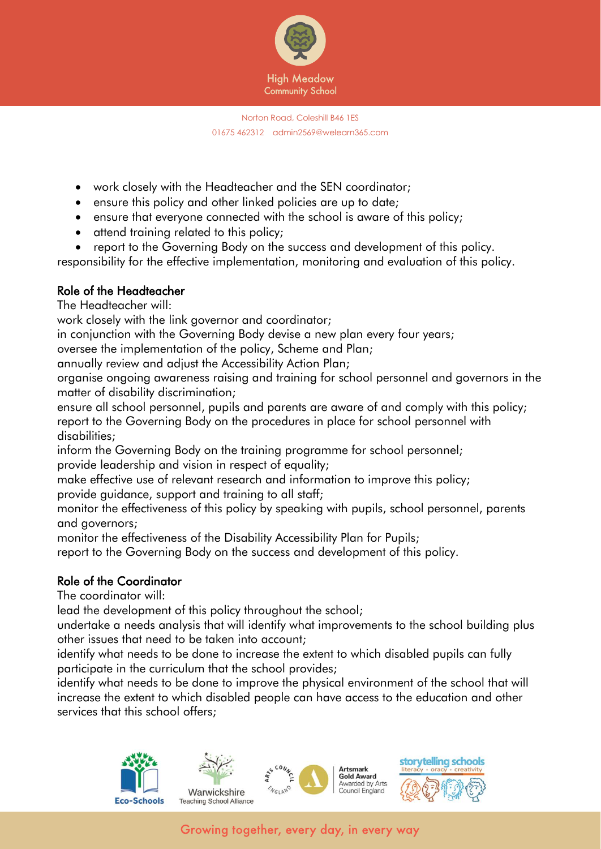

- work closely with the Headteacher and the SEN coordinator;
- ensure this policy and other linked policies are up to date;
- ensure that everyone connected with the school is aware of this policy;
- attend training related to this policy;
- report to the Governing Body on the success and development of this policy.

responsibility for the effective implementation, monitoring and evaluation of this policy.

## Role of the Headteacher

The Headteacher will:

work closely with the link governor and coordinator;

in conjunction with the Governing Body devise a new plan every four years;

oversee the implementation of the policy, Scheme and Plan;

annually review and adjust the Accessibility Action Plan;

organise ongoing awareness raising and training for school personnel and governors in the matter of disability discrimination;

ensure all school personnel, pupils and parents are aware of and comply with this policy; report to the Governing Body on the procedures in place for school personnel with disabilities;

inform the Governing Body on the training programme for school personnel; provide leadership and vision in respect of equality;

make effective use of relevant research and information to improve this policy; provide guidance, support and training to all staff;

monitor the effectiveness of this policy by speaking with pupils, school personnel, parents and governors;

monitor the effectiveness of the Disability Accessibility Plan for Pupils;

report to the Governing Body on the success and development of this policy.

## Role of the Coordinator

The coordinator will:

lead the development of this policy throughout the school;

undertake a needs analysis that will identify what improvements to the school building plus other issues that need to be taken into account;

identify what needs to be done to increase the extent to which disabled pupils can fully participate in the curriculum that the school provides;

identify what needs to be done to improve the physical environment of the school that will increase the extent to which disabled people can have access to the education and other services that this school offers;





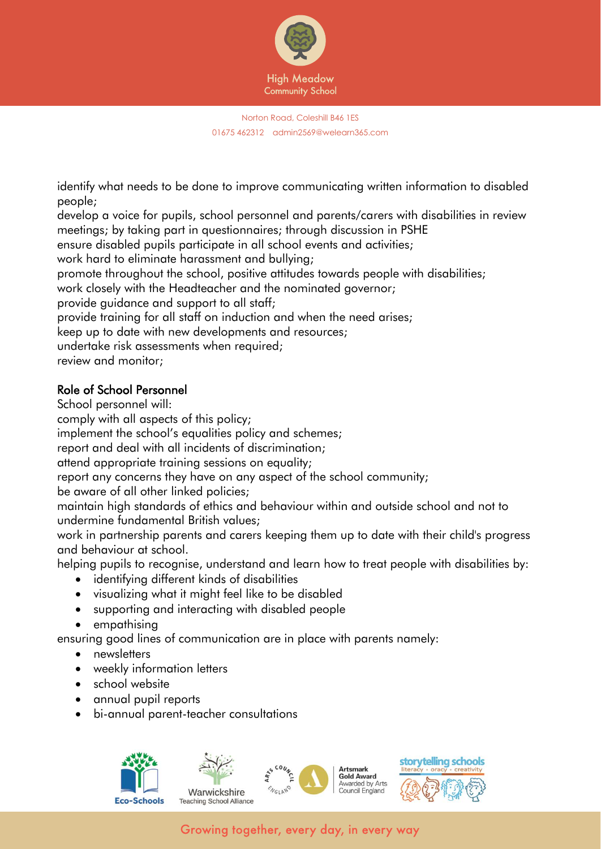

identify what needs to be done to improve communicating written information to disabled people;

develop a voice for pupils, school personnel and parents/carers with disabilities in review meetings; by taking part in questionnaires; through discussion in PSHE

ensure disabled pupils participate in all school events and activities;

work hard to eliminate harassment and bullying;

promote throughout the school, positive attitudes towards people with disabilities;

work closely with the Headteacher and the nominated governor;

provide guidance and support to all staff;

provide training for all staff on induction and when the need arises;

keep up to date with new developments and resources;

undertake risk assessments when required;

review and monitor;

## Role of School Personnel

School personnel will:

comply with all aspects of this policy;

implement the school's equalities policy and schemes;

report and deal with all incidents of discrimination;

attend appropriate training sessions on equality;

report any concerns they have on any aspect of the school community;

be aware of all other linked policies;

maintain high standards of ethics and behaviour within and outside school and not to undermine fundamental British values;

work in partnership parents and carers keeping them up to date with their child's progress and behaviour at school.

helping pupils to recognise, understand and learn how to treat people with disabilities by:

- identifying different kinds of disabilities
- visualizing what it might feel like to be disabled
- supporting and interacting with disabled people
- empathising

ensuring good lines of communication are in place with parents namely:

- newsletters
- weekly information letters
- school website
- annual pupil reports
- bi-annual parent-teacher consultations

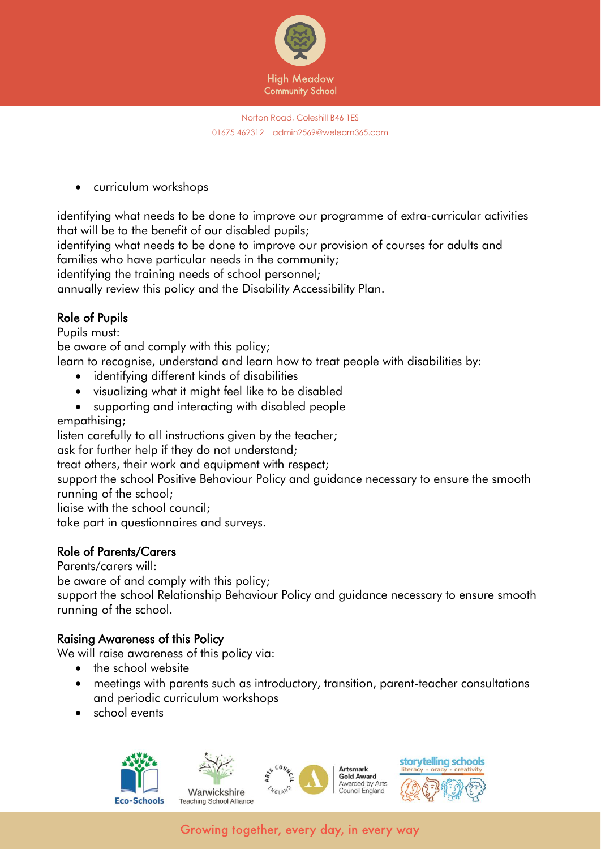

• curriculum workshops

identifying what needs to be done to improve our programme of extra-curricular activities that will be to the benefit of our disabled pupils;

identifying what needs to be done to improve our provision of courses for adults and families who have particular needs in the community;

identifying the training needs of school personnel;

annually review this policy and the Disability Accessibility Plan.

## Role of Pupils

Pupils must:

be aware of and comply with this policy;

learn to recognise, understand and learn how to treat people with disabilities by:

- identifying different kinds of disabilities
- visualizing what it might feel like to be disabled
- supporting and interacting with disabled people

empathising;

listen carefully to all instructions given by the teacher;

ask for further help if they do not understand;

treat others, their work and equipment with respect;

support the school Positive Behaviour Policy and guidance necessary to ensure the smooth running of the school;

liaise with the school council;

take part in questionnaires and surveys.

## Role of Parents/Carers

Parents/carers will:

be aware of and comply with this policy;

support the school Relationship Behaviour Policy and guidance necessary to ensure smooth running of the school.

## Raising Awareness of this Policy

We will raise awareness of this policy via:

- the school website
- meetings with parents such as introductory, transition, parent-teacher consultations and periodic curriculum workshops
- school events